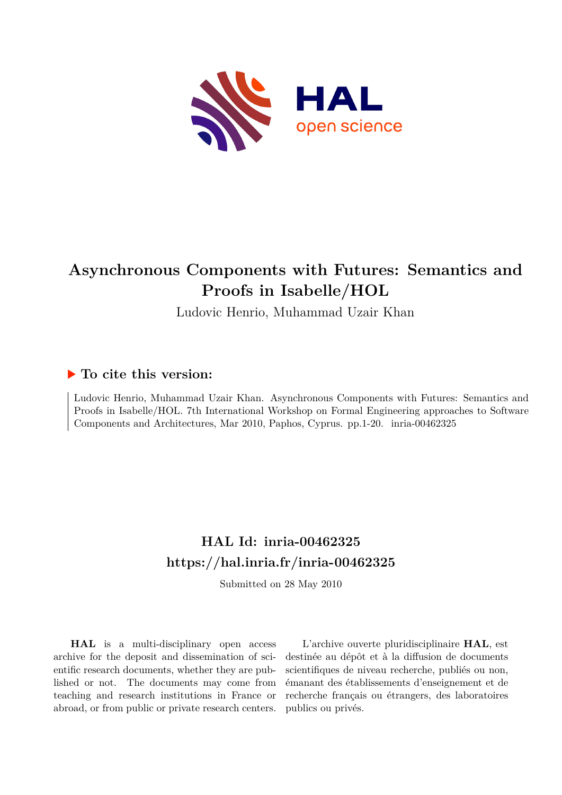

# **Asynchronous Components with Futures: Semantics and Proofs in Isabelle/HOL**

Ludovic Henrio, Muhammad Uzair Khan

## **To cite this version:**

Ludovic Henrio, Muhammad Uzair Khan. Asynchronous Components with Futures: Semantics and Proofs in Isabelle/HOL. 7th International Workshop on Formal Engineering approaches to Software Components and Architectures, Mar 2010, Paphos, Cyprus. pp.1-20. inria-00462325

## **HAL Id: inria-00462325 <https://hal.inria.fr/inria-00462325>**

Submitted on 28 May 2010

**HAL** is a multi-disciplinary open access archive for the deposit and dissemination of scientific research documents, whether they are published or not. The documents may come from teaching and research institutions in France or abroad, or from public or private research centers.

L'archive ouverte pluridisciplinaire **HAL**, est destinée au dépôt et à la diffusion de documents scientifiques de niveau recherche, publiés ou non, émanant des établissements d'enseignement et de recherche français ou étrangers, des laboratoires publics ou privés.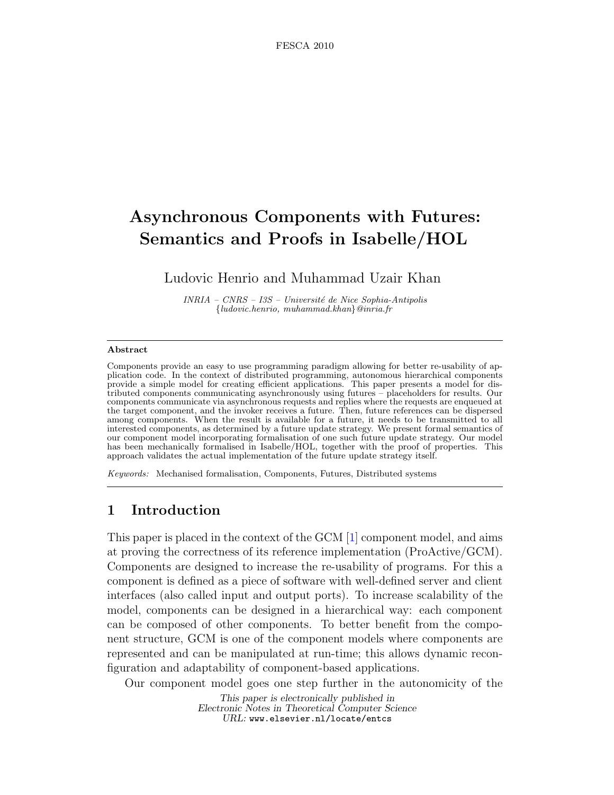# Asynchronous Components with Futures: Semantics and Proofs in Isabelle/HOL

## Ludovic Henrio and Muhammad Uzair Khan

 $INRIA - CNRS - I3S - University of the Nice. Sophia-Antipolis$ {ludovic.henrio, muhammad.khan}@inria.fr

#### Abstract

Components provide an easy to use programming paradigm allowing for better re-usability of application code. In the context of distributed programming, autonomous hierarchical components provide a simple model for creating efficient applications. This paper presents a model for distributed components communicating asynchronously using futures – placeholders for results. Our components communicate via asynchronous requests and replies where the requests are enqueued at the target component, and the invoker receives a future. Then, future references can be dispersed among components. When the result is available for a future, it needs to be transmitted to all interested components, as determined by a future update strategy. We present formal semantics of our component model incorporating formalisation of one such future update strategy. Our model has been mechanically formalised in Isabelle/HOL, together with the proof of properties. This approach validates the actual implementation of the future update strategy itself.

Keywords: Mechanised formalisation, Components, Futures, Distributed systems

## 1 Introduction

This paper is placed in the context of the GCM [\[1\]](#page-18-0) component model, and aims at proving the correctness of its reference implementation (ProActive/GCM). Components are designed to increase the re-usability of programs. For this a component is defined as a piece of software with well-defined server and client interfaces (also called input and output ports). To increase scalability of the model, components can be designed in a hierarchical way: each component can be composed of other components. To better benefit from the component structure, GCM is one of the component models where components are represented and can be manipulated at run-time; this allows dynamic reconfiguration and adaptability of component-based applications.

Our component model goes one step further in the autonomicity of the

This paper is electronically published in Electronic Notes in Theoretical Computer Science URL: www.elsevier.nl/locate/entcs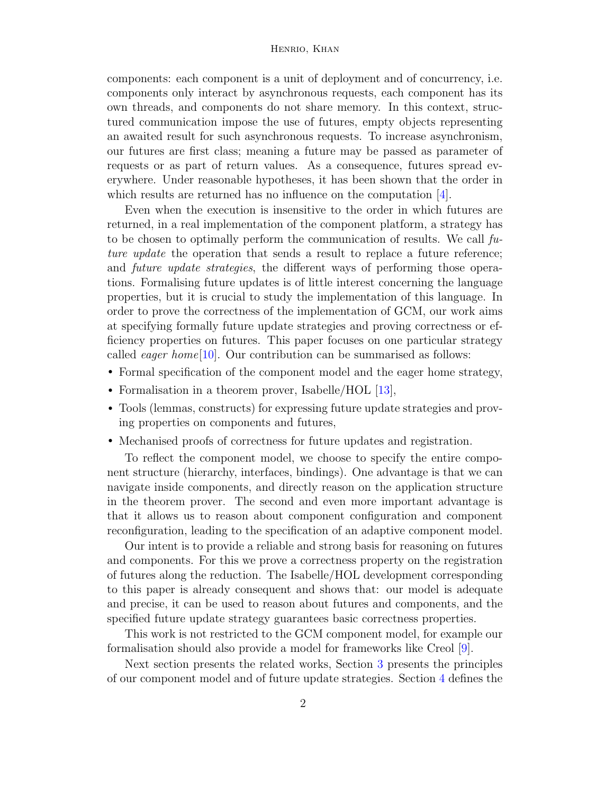components: each component is a unit of deployment and of concurrency, i.e. components only interact by asynchronous requests, each component has its own threads, and components do not share memory. In this context, structured communication impose the use of futures, empty objects representing an awaited result for such asynchronous requests. To increase asynchronism, our futures are first class; meaning a future may be passed as parameter of requests or as part of return values. As a consequence, futures spread everywhere. Under reasonable hypotheses, it has been shown that the order in which results are returned has no influence on the computation [\[4\]](#page-18-1).

Even when the execution is insensitive to the order in which futures are returned, in a real implementation of the component platform, a strategy has to be chosen to optimally perform the communication of results. We call  $fu$ ture update the operation that sends a result to replace a future reference; and future update strategies, the different ways of performing those operations. Formalising future updates is of little interest concerning the language properties, but it is crucial to study the implementation of this language. In order to prove the correctness of the implementation of GCM, our work aims at specifying formally future update strategies and proving correctness or efficiency properties on futures. This paper focuses on one particular strategy called *eager home*<sup>[\[10\]](#page-18-2)</sup>. Our contribution can be summarised as follows:

- Formal specification of the component model and the eager home strategy,
- Formalisation in a theorem prover, Isabelle/HOL [\[13\]](#page-18-3),
- Tools (lemmas, constructs) for expressing future update strategies and proving properties on components and futures,
- Mechanised proofs of correctness for future updates and registration.

To reflect the component model, we choose to specify the entire component structure (hierarchy, interfaces, bindings). One advantage is that we can navigate inside components, and directly reason on the application structure in the theorem prover. The second and even more important advantage is that it allows us to reason about component configuration and component reconfiguration, leading to the specification of an adaptive component model.

Our intent is to provide a reliable and strong basis for reasoning on futures and components. For this we prove a correctness property on the registration of futures along the reduction. The Isabelle/HOL development corresponding to this paper is already consequent and shows that: our model is adequate and precise, it can be used to reason about futures and components, and the specified future update strategy guarantees basic correctness properties.

This work is not restricted to the GCM component model, for example our formalisation should also provide a model for frameworks like Creol [\[9\]](#page-18-4).

Next section presents the related works, Section [3](#page-4-0) presents the principles of our component model and of future update strategies. Section [4](#page-8-0) defines the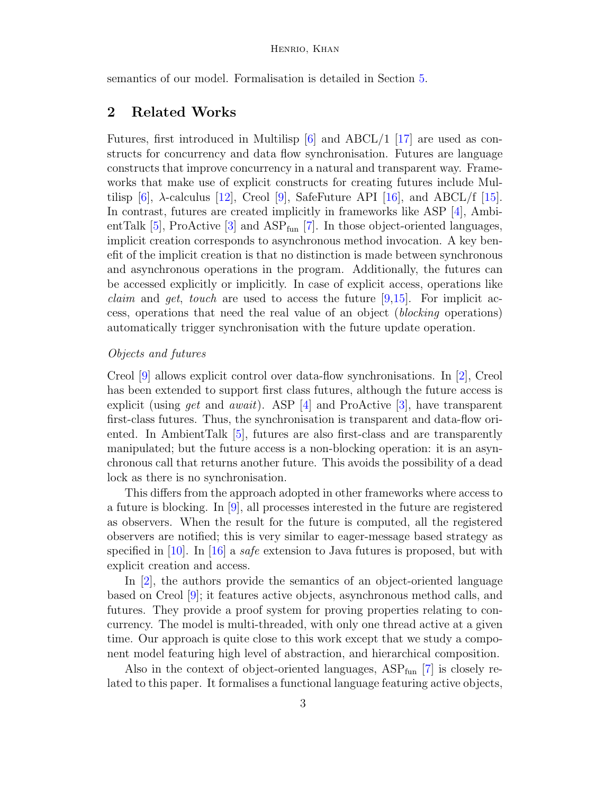semantics of our model. Formalisation is detailed in Section [5.](#page-14-0)

## 2 Related Works

Futures, first introduced in Multilisp [\[6\]](#page-18-5) and ABCL/1 [\[17\]](#page-19-0) are used as constructs for concurrency and data flow synchronisation. Futures are language constructs that improve concurrency in a natural and transparent way. Frameworks that make use of explicit constructs for creating futures include Mul-tilisp [\[6\]](#page-18-5),  $\lambda$ -calculus [\[12\]](#page-18-6), Creol [\[9\]](#page-18-4), SafeFuture API [\[16\]](#page-19-1), and ABCL/f [\[15\]](#page-19-2). In contrast, futures are created implicitly in frameworks like ASP [\[4\]](#page-18-1), AmbientTalk  $[5]$ , ProActive  $[3]$  and ASP<sub>fun</sub> [\[7\]](#page-18-9). In those object-oriented languages, implicit creation corresponds to asynchronous method invocation. A key benefit of the implicit creation is that no distinction is made between synchronous and asynchronous operations in the program. Additionally, the futures can be accessed explicitly or implicitly. In case of explicit access, operations like *claim* and *get, touch* are used to access the future  $(9,15)$ . For implicit access, operations that need the real value of an object (blocking operations) automatically trigger synchronisation with the future update operation.

#### Objects and futures

Creol [\[9\]](#page-18-4) allows explicit control over data-flow synchronisations. In [\[2\]](#page-18-10), Creol has been extended to support first class futures, although the future access is explicit (using get and await). ASP [\[4\]](#page-18-1) and ProActive [\[3\]](#page-18-8), have transparent first-class futures. Thus, the synchronisation is transparent and data-flow oriented. In AmbientTalk [\[5\]](#page-18-7), futures are also first-class and are transparently manipulated; but the future access is a non-blocking operation: it is an asynchronous call that returns another future. This avoids the possibility of a dead lock as there is no synchronisation.

This differs from the approach adopted in other frameworks where access to a future is blocking. In [\[9\]](#page-18-4), all processes interested in the future are registered as observers. When the result for the future is computed, all the registered observers are notified; this is very similar to eager-message based strategy as specified in [\[10\]](#page-18-2). In [\[16\]](#page-19-1) a safe extension to Java futures is proposed, but with explicit creation and access.

In [\[2\]](#page-18-10), the authors provide the semantics of an object-oriented language based on Creol [\[9\]](#page-18-4); it features active objects, asynchronous method calls, and futures. They provide a proof system for proving properties relating to concurrency. The model is multi-threaded, with only one thread active at a given time. Our approach is quite close to this work except that we study a component model featuring high level of abstraction, and hierarchical composition.

Also in the context of object-oriented languages,  $\text{ASP}_{\text{fun}}$  [\[7\]](#page-18-9) is closely related to this paper. It formalises a functional language featuring active objects,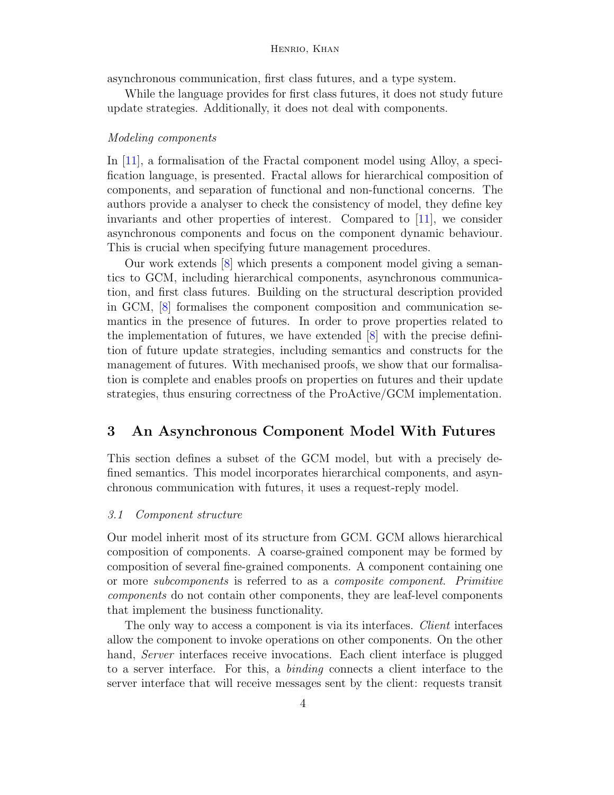asynchronous communication, first class futures, and a type system.

While the language provides for first class futures, it does not study future update strategies. Additionally, it does not deal with components.

#### Modeling components

In [\[11\]](#page-18-11), a formalisation of the Fractal component model using Alloy, a specification language, is presented. Fractal allows for hierarchical composition of components, and separation of functional and non-functional concerns. The authors provide a analyser to check the consistency of model, they define key invariants and other properties of interest. Compared to [\[11\]](#page-18-11), we consider asynchronous components and focus on the component dynamic behaviour. This is crucial when specifying future management procedures.

Our work extends [\[8\]](#page-18-12) which presents a component model giving a semantics to GCM, including hierarchical components, asynchronous communication, and first class futures. Building on the structural description provided in GCM, [\[8\]](#page-18-12) formalises the component composition and communication semantics in the presence of futures. In order to prove properties related to the implementation of futures, we have extended [\[8\]](#page-18-12) with the precise definition of future update strategies, including semantics and constructs for the management of futures. With mechanised proofs, we show that our formalisation is complete and enables proofs on properties on futures and their update strategies, thus ensuring correctness of the ProActive/GCM implementation.

## <span id="page-4-0"></span>3 An Asynchronous Component Model With Futures

This section defines a subset of the GCM model, but with a precisely defined semantics. This model incorporates hierarchical components, and asynchronous communication with futures, it uses a request-reply model.

#### <span id="page-4-1"></span>3.1 Component structure

Our model inherit most of its structure from GCM. GCM allows hierarchical composition of components. A coarse-grained component may be formed by composition of several fine-grained components. A component containing one or more subcomponents is referred to as a composite component. Primitive components do not contain other components, they are leaf-level components that implement the business functionality.

The only way to access a component is via its interfaces. *Client* interfaces allow the component to invoke operations on other components. On the other hand, *Server* interfaces receive invocations. Each client interface is plugged to a server interface. For this, a binding connects a client interface to the server interface that will receive messages sent by the client: requests transit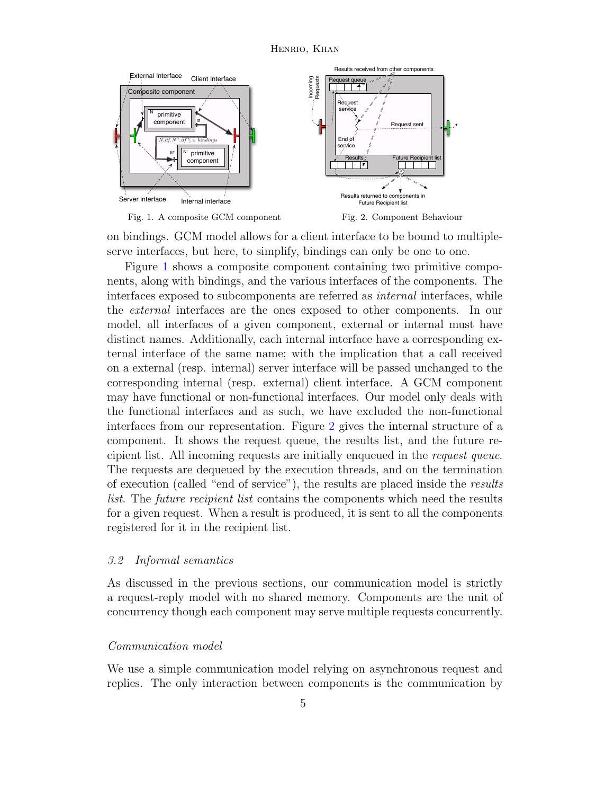

<span id="page-5-0"></span>Fig. 1. A composite GCM component

<span id="page-5-1"></span>Fig. 2. Component Behaviour

on bindings. GCM model allows for a client interface to be bound to multipleserve interfaces, but here, to simplify, bindings can only be one to one.

Figure [1](#page-5-0) shows a composite component containing two primitive components, along with bindings, and the various interfaces of the components. The interfaces exposed to subcomponents are referred as internal interfaces, while the external interfaces are the ones exposed to other components. In our model, all interfaces of a given component, external or internal must have distinct names. Additionally, each internal interface have a corresponding external interface of the same name; with the implication that a call received on a external (resp. internal) server interface will be passed unchanged to the corresponding internal (resp. external) client interface. A GCM component may have functional or non-functional interfaces. Our model only deals with the functional interfaces and as such, we have excluded the non-functional interfaces from our representation. Figure [2](#page-5-1) gives the internal structure of a component. It shows the request queue, the results list, and the future recipient list. All incoming requests are initially enqueued in the request queue. The requests are dequeued by the execution threads, and on the termination of execution (called "end of service"), the results are placed inside the results list. The future recipient list contains the components which need the results for a given request. When a result is produced, it is sent to all the components registered for it in the recipient list.

#### 3.2 Informal semantics

As discussed in the previous sections, our communication model is strictly a request-reply model with no shared memory. Components are the unit of concurrency though each component may serve multiple requests concurrently.

#### Communication model

We use a simple communication model relying on asynchronous request and replies. The only interaction between components is the communication by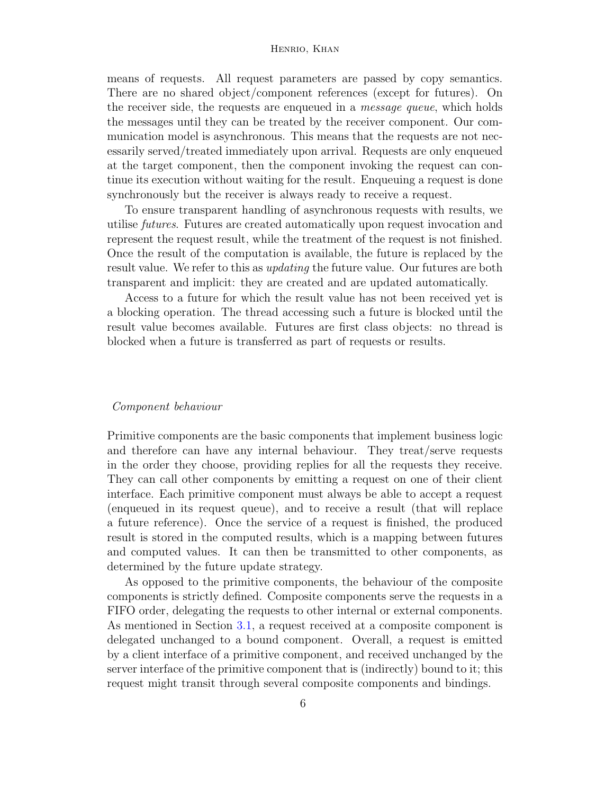means of requests. All request parameters are passed by copy semantics. There are no shared object/component references (except for futures). On the receiver side, the requests are enqueued in a *message queue*, which holds the messages until they can be treated by the receiver component. Our communication model is asynchronous. This means that the requests are not necessarily served/treated immediately upon arrival. Requests are only enqueued at the target component, then the component invoking the request can continue its execution without waiting for the result. Enqueuing a request is done synchronously but the receiver is always ready to receive a request.

To ensure transparent handling of asynchronous requests with results, we utilise futures. Futures are created automatically upon request invocation and represent the request result, while the treatment of the request is not finished. Once the result of the computation is available, the future is replaced by the result value. We refer to this as updating the future value. Our futures are both transparent and implicit: they are created and are updated automatically.

Access to a future for which the result value has not been received yet is a blocking operation. The thread accessing such a future is blocked until the result value becomes available. Futures are first class objects: no thread is blocked when a future is transferred as part of requests or results.

#### Component behaviour

Primitive components are the basic components that implement business logic and therefore can have any internal behaviour. They treat/serve requests in the order they choose, providing replies for all the requests they receive. They can call other components by emitting a request on one of their client interface. Each primitive component must always be able to accept a request (enqueued in its request queue), and to receive a result (that will replace a future reference). Once the service of a request is finished, the produced result is stored in the computed results, which is a mapping between futures and computed values. It can then be transmitted to other components, as determined by the future update strategy.

As opposed to the primitive components, the behaviour of the composite components is strictly defined. Composite components serve the requests in a FIFO order, delegating the requests to other internal or external components. As mentioned in Section [3.1,](#page-4-1) a request received at a composite component is delegated unchanged to a bound component. Overall, a request is emitted by a client interface of a primitive component, and received unchanged by the server interface of the primitive component that is (indirectly) bound to it; this request might transit through several composite components and bindings.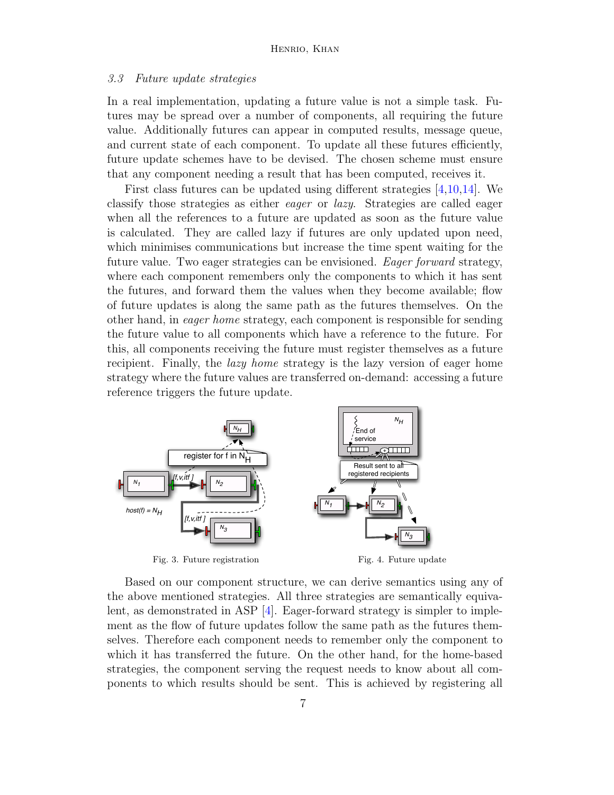#### 3.3 Future update strategies

In a real implementation, updating a future value is not a simple task. Futures may be spread over a number of components, all requiring the future value. Additionally futures can appear in computed results, message queue, and current state of each component. To update all these futures efficiently, future update schemes have to be devised. The chosen scheme must ensure that any component needing a result that has been computed, receives it.

First class futures can be updated using different strategies [\[4](#page-18-1)[,10,](#page-18-2)[14\]](#page-18-13). We classify those strategies as either eager or lazy. Strategies are called eager when all the references to a future are updated as soon as the future value is calculated. They are called lazy if futures are only updated upon need, which minimises communications but increase the time spent waiting for the future value. Two eager strategies can be envisioned. Eager forward strategy, where each component remembers only the components to which it has sent the futures, and forward them the values when they become available; flow of future updates is along the same path as the futures themselves. On the other hand, in eager home strategy, each component is responsible for sending the future value to all components which have a reference to the future. For this, all components receiving the future must register themselves as a future recipient. Finally, the *lazy home* strategy is the lazy version of eager home strategy where the future values are transferred on-demand: accessing a future reference triggers the future update.



<span id="page-7-0"></span>Fig. 3. Future registration

<span id="page-7-1"></span>Fig. 4. Future update

Based on our component structure, we can derive semantics using any of the above mentioned strategies. All three strategies are semantically equivalent, as demonstrated in ASP  $[4]$ . Eager-forward strategy is simpler to implement as the flow of future updates follow the same path as the futures themselves. Therefore each component needs to remember only the component to which it has transferred the future. On the other hand, for the home-based strategies, the component serving the request needs to know about all components to which results should be sent. This is achieved by registering all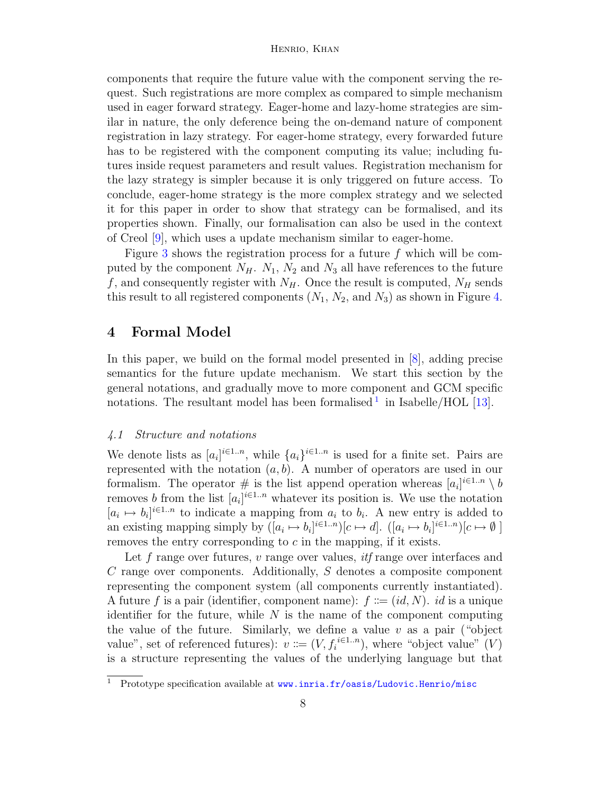components that require the future value with the component serving the request. Such registrations are more complex as compared to simple mechanism used in eager forward strategy. Eager-home and lazy-home strategies are similar in nature, the only deference being the on-demand nature of component registration in lazy strategy. For eager-home strategy, every forwarded future has to be registered with the component computing its value; including futures inside request parameters and result values. Registration mechanism for the lazy strategy is simpler because it is only triggered on future access. To conclude, eager-home strategy is the more complex strategy and we selected it for this paper in order to show that strategy can be formalised, and its properties shown. Finally, our formalisation can also be used in the context of Creol [\[9\]](#page-18-4), which uses a update mechanism similar to eager-home.

Figure [3](#page-7-0) shows the registration process for a future  $f$  which will be computed by the component  $N_H$ .  $N_1$ ,  $N_2$  and  $N_3$  all have references to the future f, and consequently register with  $N_H$ . Once the result is computed,  $N_H$  sends this result to all registered components  $(N_1, N_2, \text{ and } N_3)$  as shown in Figure [4.](#page-7-1)

### <span id="page-8-0"></span>4 Formal Model

In this paper, we build on the formal model presented in [\[8\]](#page-18-12), adding precise semantics for the future update mechanism. We start this section by the general notations, and gradually move to more component and GCM specific notations. The resultant model has been formalised  $\frac{1}{1}$  $\frac{1}{1}$  $\frac{1}{1}$  in Isabelle/HOL [\[13\]](#page-18-3).

#### 4.1 Structure and notations

We denote lists as  $[a_i]^{i\in 1..n}$ , while  $\{a_i\}^{i\in 1..n}$  is used for a finite set. Pairs are represented with the notation  $(a, b)$ . A number of operators are used in our formalism. The operator # is the list append operation whereas  $[a_i]^{i\in 1..n} \setminus b$ removes b from the list  $[a_i]^{i \in 1..n}$  whatever its position is. We use the notation  $[a_i \mapsto b_i]^{i\in 1..n}$  to indicate a mapping from  $a_i$  to  $b_i$ . A new entry is added to an existing mapping simply by  $([a_i \mapsto b_i]^{i \in 1..n})[c \mapsto d]$ .  $([a_i \mapsto b_i]^{i \in 1..n})[c \mapsto \emptyset]$ removes the entry corresponding to  $c$  in the mapping, if it exists.

Let f range over futures, v range over values, it f range over interfaces and C range over components. Additionally, S denotes a composite component representing the component system (all components currently instantiated). A future f is a pair (identifier, component name):  $f := (id, N)$ . id is a unique identifier for the future, while  $N$  is the name of the component computing the value of the future. Similarly, we define a value  $v$  as a pair ("object") value", set of referenced futures):  $v ::= (V, f_i^{i \in 1..n})$ , where "object value"  $(V)$ is a structure representing the values of the underlying language but that

<span id="page-8-1"></span>Prototype specification available at <www.inria.fr/oasis/Ludovic.Henrio/misc>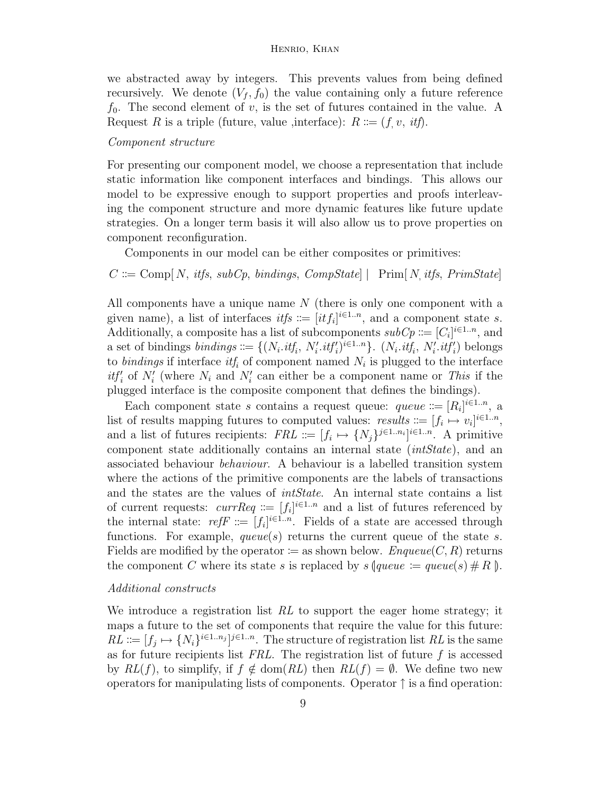we abstracted away by integers. This prevents values from being defined recursively. We denote  $(V_f, f_0)$  the value containing only a future reference  $f_0$ . The second element of v, is the set of futures contained in the value. A Request R is a triple (future, value ,interface):  $R := (f, v, itf)$ .

#### Component structure

For presenting our component model, we choose a representation that include static information like component interfaces and bindings. This allows our model to be expressive enough to support properties and proofs interleaving the component structure and more dynamic features like future update strategies. On a longer term basis it will also allow us to prove properties on component reconfiguration.

Components in our model can be either composites or primitives:

 $C ::= \text{Comp}[N, itfs, subCp, bindings, CompState]$  |  $\text{Prim}[N, itfs, PrimState]$ 

All components have a unique name N (there is only one component with a given name), a list of interfaces  $itfs ::= [itf_i]^{i \in 1..n}$ , and a component state s. Additionally, a composite has a list of subcomponents  $subCp ::= [C_i]^{i \in 1..n}$ , and a set of bindings  $\text{binding} := \{(N_i. \text{iff}_i, N'_i. \text{iff}'_i)^{i \in 1..n}\}\$ .  $(N_i. \text{iff}_i, N'_i. \text{iff}'_i)$  belongs to *bindings* if interface  $itf_i$  of component named  $N_i$  is plugged to the interface  $it f_i'$  of  $N_i'$  (where  $N_i$  and  $N_i'$  can either be a component name or This if the plugged interface is the composite component that defines the bindings).

Each component state s contains a request queue:  $queue := [R_i]^{i \in 1..n}$ , a list of results mapping futures to computed values:  $results ::= [f_i \mapsto v_i]^{i \in 1..n}$ , and a list of futures recipients:  $FRL \coloneqq [f_i \mapsto \{N_j\}^{j \in 1..n_i}]^{i \in 1..n}$ . A primitive component state additionally contains an internal state *(intState)*, and an associated behaviour behaviour. A behaviour is a labelled transition system where the actions of the primitive components are the labels of transactions and the states are the values of intState. An internal state contains a list of current requests:  $currReg ::= [f_i]^{i \in 1..n}$  and a list of futures referenced by the internal state:  $refF ::= [f_i]^{i \in 1..n}$ . Fields of a state are accessed through functions. For example,  $queue(s)$  returns the current queue of the state s. Fields are modified by the operator := as shown below.  $Enqueue(C, R)$  returns the component C where its state s is replaced by  $s$  (queue := queue(s)  $\#R \$ ).

#### Additional constructs

We introduce a registration list  $RL$  to support the eager home strategy; it maps a future to the set of components that require the value for this future:  $RL := [f_j \mapsto \{N_i\}^{i \in 1..n_j}]^{j \in 1..n}$ . The structure of registration list RL is the same as for future recipients list  $FRL$ . The registration list of future f is accessed by  $RL(f)$ , to simplify, if  $f \notin \text{dom}(RL)$  then  $RL(f) = \emptyset$ . We define two new operators for manipulating lists of components. Operator ↑ is a find operation: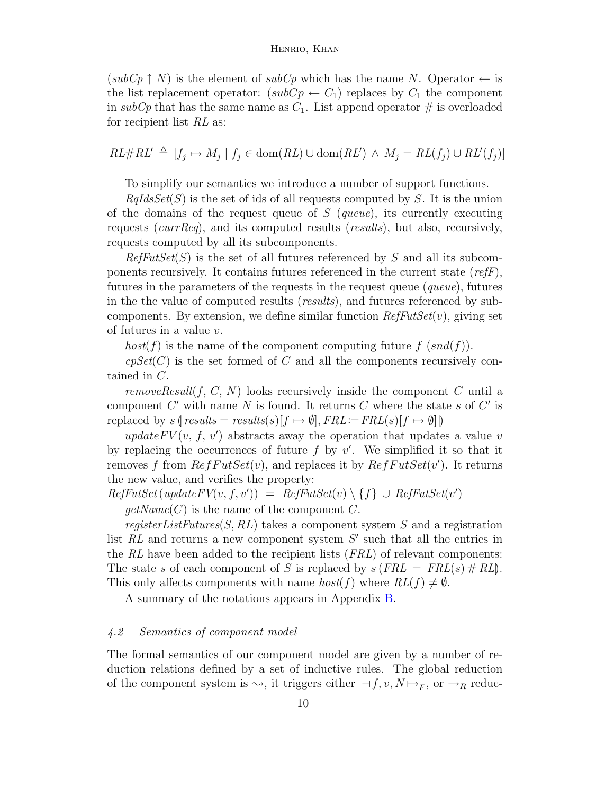$(subCp \uparrow N)$  is the element of  $subCp$  which has the name N. Operator  $\leftarrow$  is the list replacement operator:  $(subCp \leftarrow C_1)$  replaces by  $C_1$  the component in subCp that has the same name as  $C_1$ . List append operator  $\#$  is overloaded for recipient list RL as:

 $RL\# RL' \triangleq [f_j \mapsto M_j \mid f_j \in \text{dom}(RL) \cup \text{dom}(RL') \land M_j = RL(f_j) \cup RL'(f_j)]$ 

To simplify our semantics we introduce a number of support functions.

 $RqIdsSet(S)$  is the set of ids of all requests computed by S. It is the union of the domains of the request queue of  $S$  (queue), its currently executing requests (currReq), and its computed results (results), but also, recursively, requests computed by all its subcomponents.

 $RefFutSet(S)$  is the set of all futures referenced by S and all its subcomponents recursively. It contains futures referenced in the current state  $(reff)$ , futures in the parameters of the requests in the request queue (queue), futures in the the value of computed results (results), and futures referenced by subcomponents. By extension, we define similar function  $RefFutSet(v)$ , giving set of futures in a value  $v$ .

 $host(f)$  is the name of the component computing future  $f(snd(f))$ .

 $cpset(C)$  is the set formed of C and all the components recursively contained in C.

removeResult(f, C, N) looks recursively inside the component C until a component  $C'$  with name  $N$  is found. It returns  $C$  where the state  $s$  of  $C'$  is replaced by  $s$   $\{results = results(s)[f \mapsto \emptyset], FRL := FRL(s)[f \mapsto \emptyset]$ 

update  $FV(v, f, v')$  abstracts away the operation that updates a value v by replacing the occurrences of future  $f$  by  $v'$ . We simplified it so that it removes f from  $RefFutSet(v)$ , and replaces it by  $RefFutSet(v')$ . It returns the new value, and verifies the property:

 $RefFutSet(updateFV(v, f, v')) = RefFutSet(v) \setminus \{f\} \cup RefFutSet(v')$ 

 $qetName(C)$  is the name of the component C.

registerListFutures $(S, RL)$  takes a component system S and a registration list  $RL$  and returns a new component system  $S'$  such that all the entries in the RL have been added to the recipient lists (FRL) of relevant components: The state s of each component of S is replaced by  $s$  (*FRL* = *FRL*(s)  $# RL$ ). This only affects components with name  $host(f)$  where  $RL(f) \neq \emptyset$ .

A summary of the notations appears in Appendix [B.](#page-20-0)

### <span id="page-10-0"></span>4.2 Semantics of component model

The formal semantics of our component model are given by a number of reduction relations defined by a set of inductive rules. The global reduction of the component system is  $\rightsquigarrow$ , it triggers either  $\neg f, v, N \mapsto_F$ , or  $\rightarrow_R$  reduc-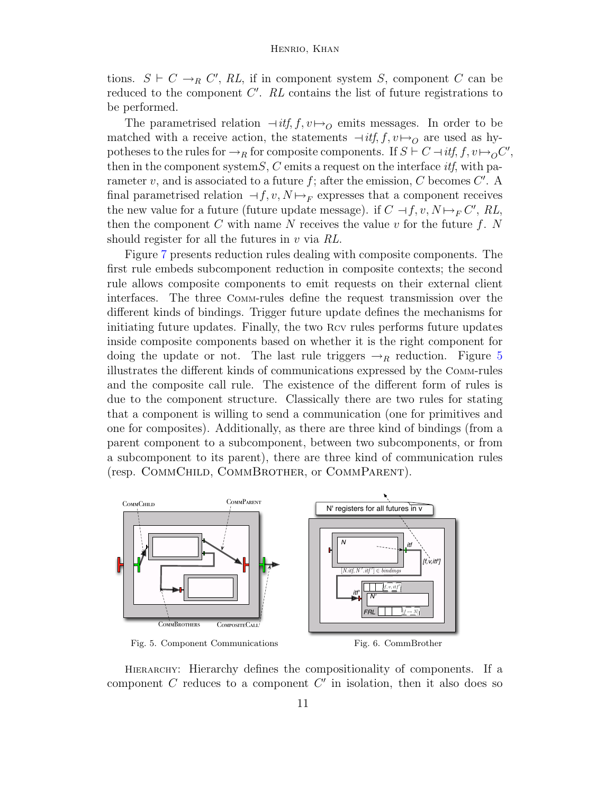tions.  $S \vdash C \rightarrow_R C'$ , RL, if in component system S, component C can be reduced to the component  $C'$ .  $RL$  contains the list of future registrations to be performed.

The parametrised relation  $-\text{i} t f, f, v \mapsto_{\Omega}$  emits messages. In order to be matched with a receive action, the statements  $-\frac{itf}{dt}$ ,  $f, v \mapsto$ <sub>O</sub> are used as hypotheses to the rules for  $\rightarrow_R$  for composite components. If  $S \vdash C \rightarrow itf, f, v \mapsto_O C'$ , then in the component system  $S, C$  emits a request on the interface it f, with parameter  $v$ , and is associated to a future  $f$ ; after the emission,  $C$  becomes  $C'$ . A final parametrised relation  $\neg f, v, N \mapsto_F$  expresses that a component receives the new value for a future (future update message). if  $C \dashv f, v, N \mapsto_F C', RL$ , then the component C with name N receives the value v for the future f. N should register for all the futures in  $v$  via  $RL$ .

Figure [7](#page-12-0) presents reduction rules dealing with composite components. The first rule embeds subcomponent reduction in composite contexts; the second rule allows composite components to emit requests on their external client interfaces. The three Comm-rules define the request transmission over the different kinds of bindings. Trigger future update defines the mechanisms for initiating future updates. Finally, the two Rcv rules performs future updates inside composite components based on whether it is the right component for doing the update or not. The last rule triggers  $\rightarrow_R$  reduction. Figure [5](#page-11-0) illustrates the different kinds of communications expressed by the Comm-rules and the composite call rule. The existence of the different form of rules is due to the component structure. Classically there are two rules for stating that a component is willing to send a communication (one for primitives and one for composites). Additionally, as there are three kind of bindings (from a parent component to a subcomponent, between two subcomponents, or from a subcomponent to its parent), there are three kind of communication rules (resp. CommChild, CommBrother, or CommParent).



<span id="page-11-0"></span>Fig. 5. Component Communications

<span id="page-11-1"></span>Fig. 6. CommBrother

Hierarchy: Hierarchy defines the compositionality of components. If a component  $C$  reduces to a component  $C'$  in isolation, then it also does so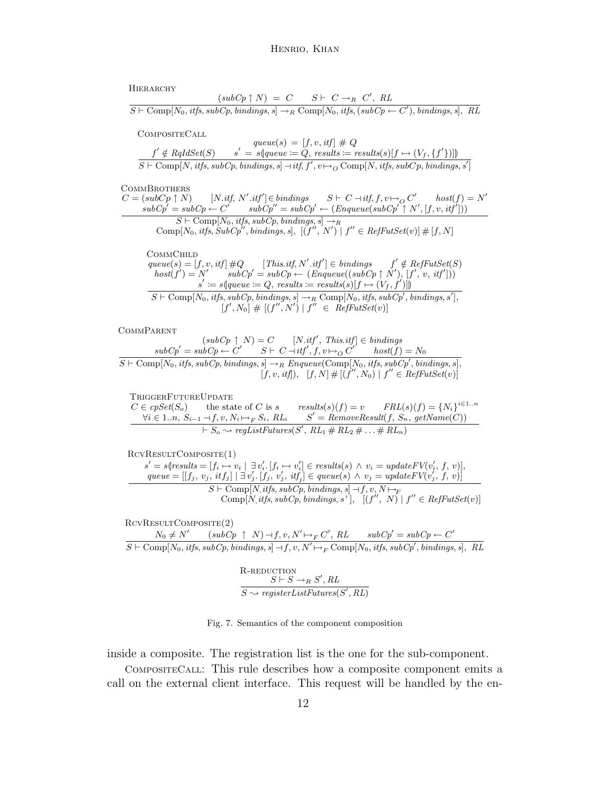**HIERARCHY**  $(subCp \uparrow N) = C \t S \vdash C \rightarrow_R C', RL$  $\overline{S \vdash \mathrm{Comp}[N_0,\mathit{itfs},\mathit{subCp},\mathit{bindings},s] \to_R \mathrm{Comp}[N_0,\mathit{itfs},(\mathit{subCp} \leftarrow C'),\mathit{bindings},s],\;\mathit{RL} }$ CompositeCall  $queue(s) = [f, v, itf] \# Q$  $f' \notin RqldSet(S)$   $s' = s$  (queue :=  $Q$ , results := results(s)  $[f \mapsto (V_f, \{f'\} )]$  $\overline{S \vdash \mathrm{Comp}[N, itfs, subCp, bindings, s] \dashv itf, f', v \mapsto_O \mathrm{Comp}[N, itfs, subCp, bindings, s']$ COMMBROTHERS<br> $C = (subCp \uparrow N)$  $C = (subCp \uparrow N)$  [N.itf, N'.itf']  $\in$  bindings  $S \vdash C \rightarrow$  itf,  $f, v \mapsto_O C'$  host( $f$ ) = N<br>subCp' = subCp ← C' subCp'' = subCp' ← (Enqueue(subCp'  $\uparrow N'$ , [f, v, itf']))  $host(f) = N'$  $S \vdash \text{Comp}[N_0, itfs, subCp, bindings, s] \rightarrow_R$  $\text{Comp}[N_0, itfs, SubCp'', bindings, s], \left[ (f'', N') \right] f'' \in RefFutSet(v)] \# [f, N]$ **COMMCHILD** queue(s) =  $[f, v, it]$  #Q [This.itf, N'.itf']  $\in$  bindings  $f' \notin RefFutSet(S)$  $host(f') = N'$   $subCp' = subCp \leftarrow (Enqueue((subCp \uparrow N'), [f', v, itf'])$  $s' \coloneqq s$  (queue  $\coloneqq Q$ , results  $\coloneqq \operatorname{results}(\overset{\cdot}{s})[f \mapsto (V_f, f')]$ )  $S \vdash \text{Comp}[N_0, itfs, subCp, bindings, s] \rightarrow_R \text{Comp}[N_0, itfs, subCp', bindings, s'],$  $[f', N_0] \# [(f'', N') | f'' \in \mathit{ReffutSet}(v)]$ **COMMPARENT**  $(subCp \uparrow N) = C$  [*N.itf', This.itf*]  $\in$  bindings  $subCp' = subCp \leftarrow C'$   $S \vdash C \rightarrow itf', f, v \mapsto_{O} C'$   $host(f) = N_0$  $\overline{S \vdash \mathrm{Comp}[N_0,\mathit{itfs},\mathit{subCp},\mathit{bindings},s] \rightarrow_R \mathit{Enqueue}(\mathrm{Comp}[N_0,\mathit{itfs},\mathit{subCp}',\mathit{bindings},s],}$  $[f, v, itf], [f, N] \# [(f'', N_0) | f'' \in \mathit{RefFutSet}(v)]$ TriggerFutureUpdate  $C \in cpSet(S_o)$  the state of C is s results(s)(f) = v  $FRL(s)(f) = \{N_i\}^{i \in 1..n}$  $\forall i \in 1..n, S_{i-1} \dashv f, v, N_i \mapsto_F S_i, RL_i \quad S' = \mathop{RemoveResult}(f, S_n, \mathop{getName}(C))$  $\vdash S_o \leadsto \textit{regListFutures}(S',\,RL_1 \# \, RL_2 \# \ldots \# \, RL_n)$ RcvResultComposite(1)  $s' = s{\text{{}results = [f_i \mapsto v_i \mid \exists v'_i, [f_i \mapsto v'_i] \in results(s) \land v_i = updateFV(v'_i, f, v)]},$  $queue = [[f_j, v_j, itf_j] | \exists v'_j, [f_j, v'_j, itf_j] \in queue(s) \land v_j = updateFV(v'_j, f, v)]$  $S \vdash \text{Comp}[N, itfs, subCp, bindings, s] \rightarrow f, v, N \mapsto_F$  $\text{Comp}[N, itfs, subCp, bindings, s']$ ,  $[(f'', N)] | f'' \in \text{RefFutSet}(v)]$ RcvResultComposite(2)  $N_0 \neq N'$   $(subCp \uparrow N) \dashv f, v, N' \mapsto_F C', RL$   $subCp' = subCp \leftarrow C'$ 

 $S \vdash \text{Comp}[N_0,\text{itfs}, \text{subCp}, \text{bindings}, s] \dashv f, v, N' \mapsto_F \text{Comp}[N_0, \text{itfs}, \text{subCp}', \text{bindings}, s], \; RL$ 

R-REDUCTION  

$$
S \vdash S \rightarrow_R S', RL
$$
  

$$
S \rightsquigarrow \text{registerListFutures}(S', RL)
$$

<span id="page-12-0"></span>Fig. 7. Semantics of the component composition

inside a composite. The registration list is the one for the sub-component.

CompositeCall: This rule describes how a composite component emits a call on the external client interface. This request will be handled by the en-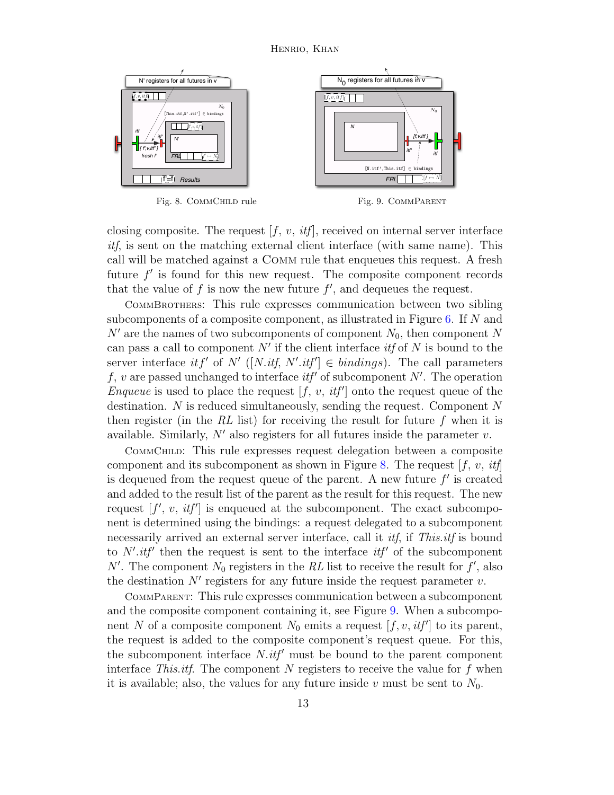

<span id="page-13-0"></span>Fig. 8. CommChild rule

<span id="page-13-1"></span>Fig. 9. CommParent

closing composite. The request  $[f, v, itf]$ , received on internal server interface itf, is sent on the matching external client interface (with same name). This call will be matched against a Comm rule that enqueues this request. A fresh future  $f'$  is found for this new request. The composite component records that the value of  $f$  is now the new future  $f'$ , and dequeues the request.

CommBrothers: This rule expresses communication between two sibling subcomponents of a composite component, as illustrated in Figure [6.](#page-11-1) If N and  $N'$  are the names of two subcomponents of component  $N_0$ , then component N can pass a call to component  $N'$  if the client interface *itf* of N is bound to the server interface it f' of N' ([N.itf, N'.itf']  $\in$  bindings). The call parameters f, v are passed unchanged to interface it f' of subcomponent  $N'$ . The operation Enqueue is used to place the request  $[f, v, itf']$  onto the request queue of the destination. N is reduced simultaneously, sending the request. Component N then register (in the RL list) for receiving the result for future  $f$  when it is available. Similarly,  $N'$  also registers for all futures inside the parameter  $v$ .

CommChild: This rule expresses request delegation between a composite component and its subcomponent as shown in Figure [8.](#page-13-0) The request  $[f, v, itf]$ is dequeued from the request queue of the parent. A new future  $f'$  is created and added to the result list of the parent as the result for this request. The new request  $[f', v, itf']$  is enqueued at the subcomponent. The exact subcomponent is determined using the bindings: a request delegated to a subcomponent necessarily arrived an external server interface, call it *itf*, if *This.itf* is bound to  $N'.itf'$  then the request is sent to the interface  $itf'$  of the subcomponent N'. The component  $N_0$  registers in the RL list to receive the result for  $f'$ , also the destination  $N'$  registers for any future inside the request parameter  $v$ .

CommParent: This rule expresses communication between a subcomponent and the composite component containing it, see Figure [9.](#page-13-1) When a subcomponent N of a composite component  $N_0$  emits a request  $[f, v, itf']$  to its parent, the request is added to the composite component's request queue. For this, the subcomponent interface  $N.$  if  $'$  must be bound to the parent component interface This.it f. The component N registers to receive the value for f when it is available; also, the values for any future inside v must be sent to  $N_0$ .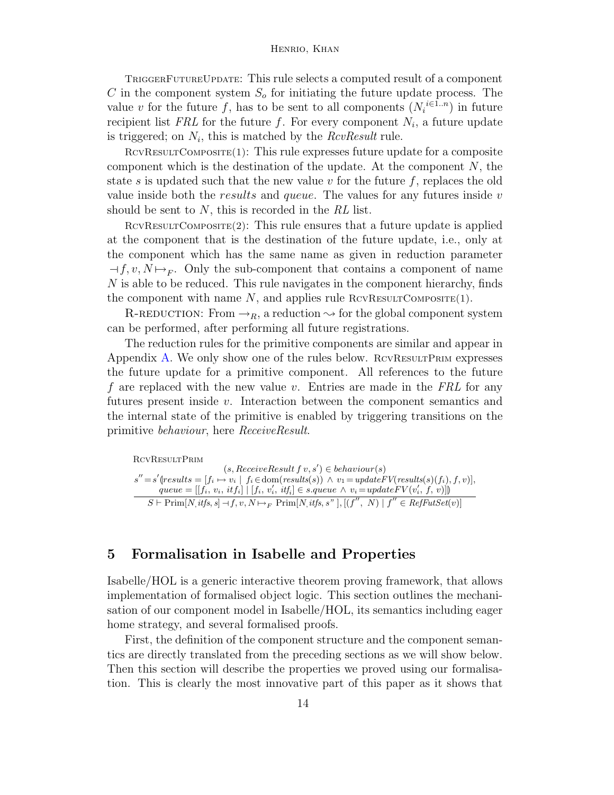TriggerFutureUpdate: This rule selects a computed result of a component C in the component system  $S<sub>o</sub>$  for initiating the future update process. The value v for the future f, has to be sent to all components  $(N_i^{i \in \hat{1} \dots n})$  in future recipient list FRL for the future f. For every component  $N_i$ , a future update is triggered; on  $N_i$ , this is matched by the  $RcvResult$  rule.

 $R\text{cv}$ Result Composite $(1)$ : This rule expresses future update for a composite component which is the destination of the update. At the component  $N$ , the state s is updated such that the new value  $v$  for the future  $f$ , replaces the old value inside both the results and queue. The values for any futures inside  $v$ should be sent to  $N$ , this is recorded in the  $RL$  list.

 $RCVRESULTCOMPOSTTE(2)$ : This rule ensures that a future update is applied at the component that is the destination of the future update, i.e., only at the component which has the same name as given in reduction parameter  $\neg f, v, N \mapsto_F$ . Only the sub-component that contains a component of name N is able to be reduced. This rule navigates in the component hierarchy, finds the component with name  $N$ , and applies rule RCVRESULTCOMPOSITE $(1)$ .

R-REDUCTION: From  $\rightarrow$ <sub>R</sub>, a reduction  $\rightarrow$  for the global component system can be performed, after performing all future registrations.

The reduction rules for the primitive components are similar and appear in Appendix [A.](#page-19-3) We only show one of the rules below. RCVRESULTPRIM expresses the future update for a primitive component. All references to the future f are replaced with the new value v. Entries are made in the FRL for any futures present inside v. Interaction between the component semantics and the internal state of the primitive is enabled by triggering transitions on the primitive behaviour, here ReceiveResult.

$$
\begin{array}{c} \text{RCVRESULTPRIM} \\ \mathit{s''=s'} \text{ (} s, \text{ReceiveResult } f \ v, s') \in \text{behavior(s)} \\ \mathit{s''=s'} \text{ (} \text{results} = [f_i \mapsto v_i \ | \ f_i \in \text{dom}(\text{results}(s)) \ \land \ v_1 = \text{update} \ \text{FV}(\text{results}(s)(f_i), f, v)], \\ \mathit{queue} = [[f_i, v_i, itf_i] \ | \ [f_i, v_i', itf_i] \in s\text{.queue } \land \ v_i = \text{update} \ \text{FV}(v_i', f, v)]]) \\ \hline \mathit{S} \vdash \text{Prim}[N, itfs, s] \rightarrow f, v, N \mapsto_F \ \text{Prim}[N, itfs, s''], [(f'', N) \ | \ f'' \in \text{RefFutSet}(v)] \end{array}
$$

## <span id="page-14-0"></span>5 Formalisation in Isabelle and Properties

Isabelle/HOL is a generic interactive theorem proving framework, that allows implementation of formalised object logic. This section outlines the mechanisation of our component model in Isabelle/HOL, its semantics including eager home strategy, and several formalised proofs.

First, the definition of the component structure and the component semantics are directly translated from the preceding sections as we will show below. Then this section will describe the properties we proved using our formalisation. This is clearly the most innovative part of this paper as it shows that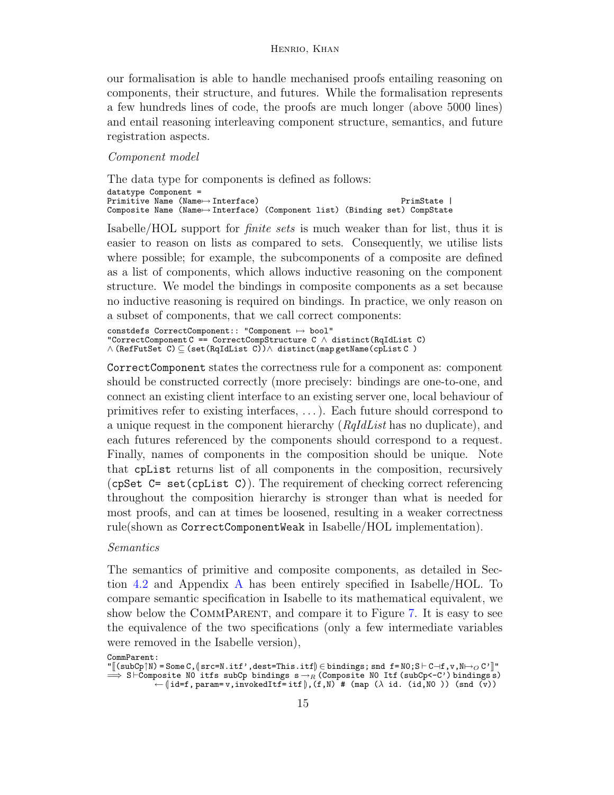our formalisation is able to handle mechanised proofs entailing reasoning on components, their structure, and futures. While the formalisation represents a few hundreds lines of code, the proofs are much longer (above 5000 lines) and entail reasoning interleaving component structure, semantics, and future registration aspects.

#### Component model

The data type for components is defined as follows: datatype Component = Primitive Name (Name→ Interface) PrimState | PrimState | Composite Name (Name→ Interface) (Component list) (Binding set) CompState

Isabelle/HOL support for finite sets is much weaker than for list, thus it is easier to reason on lists as compared to sets. Consequently, we utilise lists where possible; for example, the subcomponents of a composite are defined as a list of components, which allows inductive reasoning on the component structure. We model the bindings in composite components as a set because no inductive reasoning is required on bindings. In practice, we only reason on a subset of components, that we call correct components:

constdefs CorrectComponent:: "Component 7→ bool" "CorrectComponent C == CorrectCompStructure C  $\land$  distinct(RqIdList C) ∧ (RefFutSet C) ⊆ (set(RqIdList C))∧ distinct(map getName(cpList C )

CorrectComponent states the correctness rule for a component as: component should be constructed correctly (more precisely: bindings are one-to-one, and connect an existing client interface to an existing server one, local behaviour of primitives refer to existing interfaces, . . . ). Each future should correspond to a unique request in the component hierarchy (RqIdList has no duplicate), and each futures referenced by the components should correspond to a request. Finally, names of components in the composition should be unique. Note that cpList returns list of all components in the composition, recursively (cpSet C= set(cpList C)). The requirement of checking correct referencing throughout the composition hierarchy is stronger than what is needed for most proofs, and can at times be loosened, resulting in a weaker correctness rule(shown as CorrectComponentWeak in Isabelle/HOL implementation).

#### Semantics

The semantics of primitive and composite components, as detailed in Section [4.2](#page-10-0) and Appendix [A](#page-19-3) has been entirely specified in Isabelle/HOL. To compare semantic specification in Isabelle to its mathematical equivalent, we show below the COMMPARENT, and compare it to Figure [7.](#page-12-0) It is easy to see the equivalence of the two specifications (only a few intermediate variables were removed in the Isabelle version),

#### CommParent:

 $\mathbb{P}[[\texttt{subCp}{\uparrow}\texttt{N}) = \texttt{Some C},\allowbreak\texttt{|src=N}.\texttt{itf}',\texttt{dest=This}.\texttt{itf}] \in \texttt{bindings}$ ; snd f= N0;S  $\vdash$  C− $\texttt{ff},\texttt{v},\texttt{N} \mapsto_O \texttt{C'}$ "  $\implies$  S  $\vdash$  Composite NO itfs subCp bindings s  $\rightarrow$   $_R$  (Composite NO Itf (subCp<-C') bindings s)  $\leftarrow$  [id=f, param= v,invokedItf= itf ], (f, N) # (map ( $\lambda$  id. (id, NO )) (snd (v))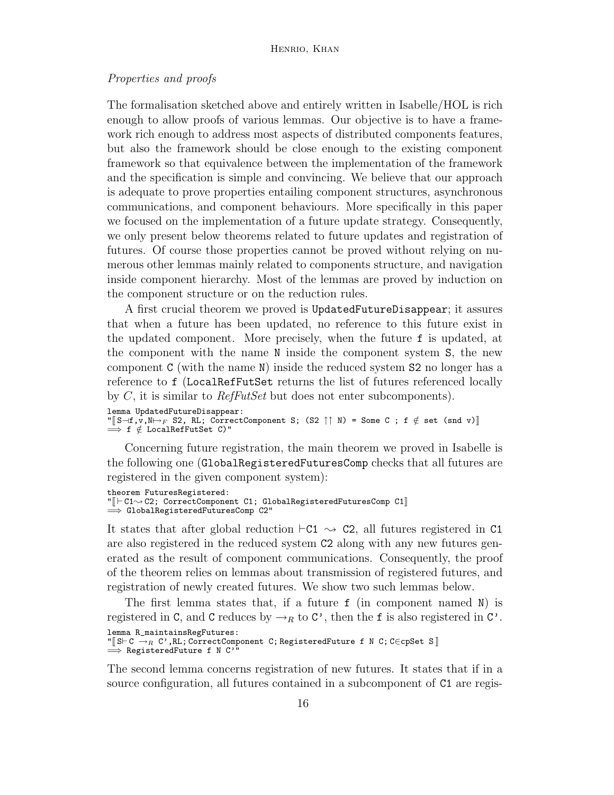#### Properties and proofs

The formalisation sketched above and entirely written in Isabelle/HOL is rich enough to allow proofs of various lemmas. Our objective is to have a framework rich enough to address most aspects of distributed components features, but also the framework should be close enough to the existing component framework so that equivalence between the implementation of the framework and the specification is simple and convincing. We believe that our approach is adequate to prove properties entailing component structures, asynchronous communications, and component behaviours. More specifically in this paper we focused on the implementation of a future update strategy. Consequently, we only present below theorems related to future updates and registration of futures. Of course those properties cannot be proved without relying on numerous other lemmas mainly related to components structure, and navigation inside component hierarchy. Most of the lemmas are proved by induction on the component structure or on the reduction rules.

A first crucial theorem we proved is UpdatedFutureDisappear; it assures that when a future has been updated, no reference to this future exist in the updated component. More precisely, when the future f is updated, at the component with the name N inside the component system S, the new component C (with the name N) inside the reduced system S2 no longer has a reference to f (LocalRefFutSet returns the list of futures referenced locally by C, it is similar to RefFutSet but does not enter subcomponents).

```
lemma UpdatedFutureDisappear:
\|S-f,\dot{v},N\mapsto F S2, RL; CorrectComponent S; (S2 \uparrow\uparrow N) = Some C; f \notin set (snd v)
\Rightarrow f \notin LocalRefFutSet C)"
```
Concerning future registration, the main theorem we proved in Isabelle is the following one (GlobalRegisteredFuturesComp checks that all futures are registered in the given component system):

theorem FuturesRegistered:

```
"[ + C1 < C2; CorrectComponent C1; GlobalRegisteredFuturesComp C1 ||
=⇒ GlobalRegisteredFuturesComp C2"
```
It states that after global reduction  $\vdash$ C1  $\rightsquigarrow$  C2, all futures registered in C1 are also registered in the reduced system C2 along with any new futures generated as the result of component communications. Consequently, the proof of the theorem relies on lemmas about transmission of registered futures, and registration of newly created futures. We show two such lemmas below.

The first lemma states that, if a future  $f$  (in component named N) is registered in C, and C reduces by  $\rightarrow_R$  to C', then the f is also registered in C'.

lemma R\_maintainsRegFutures:

```
\lVert \P \rVert \mathbb{S} \vdash \mathsf{C} \rightarrow_R \mathsf{C}',RL; CorrectComponent C; RegisteredFuture f N C; C∈cpSet S
=⇒ RegisteredFuture f N C'"
```
The second lemma concerns registration of new futures. It states that if in a source configuration, all futures contained in a subcomponent of C1 are regis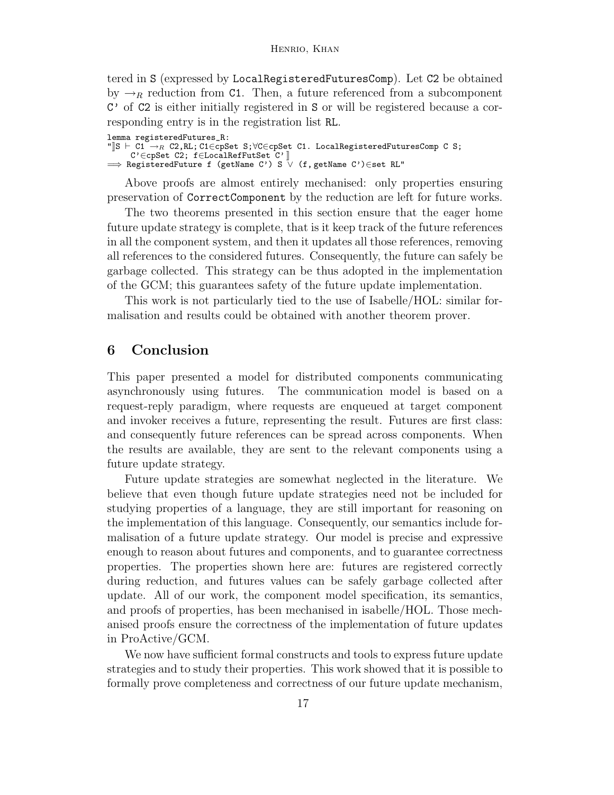tered in S (expressed by LocalRegisteredFuturesComp). Let C2 be obtained by  $\rightarrow_R$  reduction from C1. Then, a future referenced from a subcomponent C' of C2 is either initially registered in S or will be registered because a corresponding entry is in the registration list RL.

lemma registeredFutures\_R: "S ⊢ C1  $\rightarrow$  R C2, RL; C1∈cpSet S; ∀C∈cpSet C1. LocalRegisteredFuturesComp C S; C'∈cpSet C2; f∈LocalRefFutSet C'] =⇒ RegisteredFuture f (getName C') S ∨ (f, getName C')∈set RL"

Above proofs are almost entirely mechanised: only properties ensuring preservation of CorrectComponent by the reduction are left for future works.

The two theorems presented in this section ensure that the eager home future update strategy is complete, that is it keep track of the future references in all the component system, and then it updates all those references, removing all references to the considered futures. Consequently, the future can safely be garbage collected. This strategy can be thus adopted in the implementation of the GCM; this guarantees safety of the future update implementation.

This work is not particularly tied to the use of Isabelle/HOL: similar formalisation and results could be obtained with another theorem prover.

## 6 Conclusion

This paper presented a model for distributed components communicating asynchronously using futures. The communication model is based on a request-reply paradigm, where requests are enqueued at target component and invoker receives a future, representing the result. Futures are first class: and consequently future references can be spread across components. When the results are available, they are sent to the relevant components using a future update strategy.

Future update strategies are somewhat neglected in the literature. We believe that even though future update strategies need not be included for studying properties of a language, they are still important for reasoning on the implementation of this language. Consequently, our semantics include formalisation of a future update strategy. Our model is precise and expressive enough to reason about futures and components, and to guarantee correctness properties. The properties shown here are: futures are registered correctly during reduction, and futures values can be safely garbage collected after update. All of our work, the component model specification, its semantics, and proofs of properties, has been mechanised in isabelle/HOL. Those mechanised proofs ensure the correctness of the implementation of future updates in ProActive/GCM.

We now have sufficient formal constructs and tools to express future update strategies and to study their properties. This work showed that it is possible to formally prove completeness and correctness of our future update mechanism,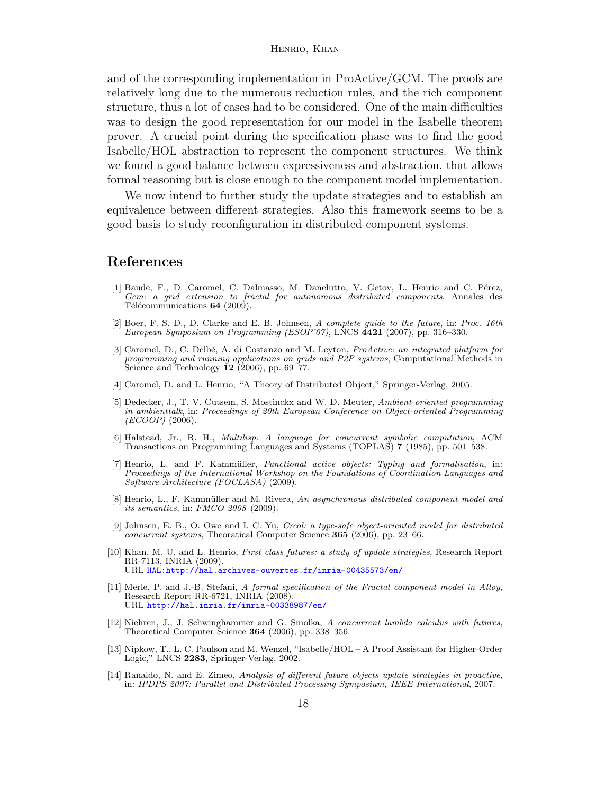and of the corresponding implementation in ProActive/GCM. The proofs are relatively long due to the numerous reduction rules, and the rich component structure, thus a lot of cases had to be considered. One of the main difficulties was to design the good representation for our model in the Isabelle theorem prover. A crucial point during the specification phase was to find the good Isabelle/HOL abstraction to represent the component structures. We think we found a good balance between expressiveness and abstraction, that allows formal reasoning but is close enough to the component model implementation.

We now intend to further study the update strategies and to establish an equivalence between different strategies. Also this framework seems to be a good basis to study reconfiguration in distributed component systems.

### References

- <span id="page-18-0"></span>[1] Baude, F., D. Caromel, C. Dalmasso, M. Danelutto, V. Getov, L. Henrio and C. Pérez, Gcm: a grid extension to fractal for autonomous distributed components, Annales des Télécommunications  $64$  (2009).
- <span id="page-18-10"></span>[2] Boer, F. S. D., D. Clarke and E. B. Johnsen, A complete guide to the future, in: Proc. 16th European Symposium on Programming (ESOP'07), LNCS 4421 (2007), pp. 316–330.
- <span id="page-18-8"></span>[3] Caromel, D., C. Delbé, A. di Costanzo and M. Leyton, *ProActive: an integrated platform for* programming and running applications on grids and P2P systems, Computational Methods in Science and Technology  $12$  (2006), pp. 69–77.
- <span id="page-18-1"></span>[4] Caromel, D. and L. Henrio, "A Theory of Distributed Object," Springer-Verlag, 2005.
- <span id="page-18-7"></span>[5] Dedecker, J., T. V. Cutsem, S. Mostinckx and W. D. Meuter, Ambient-oriented programming in ambienttalk, in: Proceedings of 20th European Conference on Object-oriented Programming (ECOOP) (2006).
- <span id="page-18-5"></span>[6] Halstead, Jr., R. H., Multilisp: A language for concurrent symbolic computation, ACM Transactions on Programming Languages and Systems (TOPLAS) 7 (1985), pp. 501–538.
- <span id="page-18-9"></span>[7] Henrio, L. and F. Kammüller, *Functional active objects: Typing and formalisation*, in: Proceedings of the International Workshop on the Foundations of Coordination Languages and Software Architecture (FOCLASA) (2009).
- <span id="page-18-12"></span>[8] Henrio, L., F. Kammüller and M. Rivera, An asynchronous distributed component model and its semantics, in: FMCO 2008 (2009).
- <span id="page-18-4"></span>[9] Johnsen, E. B., O. Owe and I. C. Yu, Creol: a type-safe object-oriented model for distributed concurrent systems, Theoratical Computer Science 365 (2006), pp. 23–66.
- <span id="page-18-2"></span>[10] Khan, M. U. and L. Henrio, First class futures: a study of update strategies, Research Report RR-7113, INRIA (2009). URL <HAL:http://hal.archives-ouvertes.fr/inria-00435573/en/>
- <span id="page-18-11"></span>[11] Merle, P. and J.-B. Stefani, A formal specification of the Fractal component model in Alloy, Research Report RR-6721, INRIA (2008). URL <http://hal.inria.fr/inria-00338987/en/>
- <span id="page-18-6"></span>[12] Niehren, J., J. Schwinghammer and G. Smolka, A concurrent lambda calculus with futures, Theoretical Computer Science 364 (2006), pp. 338–356.
- <span id="page-18-3"></span>[13] Nipkow, T., L. C. Paulson and M. Wenzel, "Isabelle/HOL – A Proof Assistant for Higher-Order Logic," LNCS 2283, Springer-Verlag, 2002.
- <span id="page-18-13"></span>[14] Ranaldo, N. and E. Zimeo, Analysis of different future objects update strategies in proactive, in: IPDPS 2007: Parallel and Distributed Processing Symposium, IEEE International, 2007.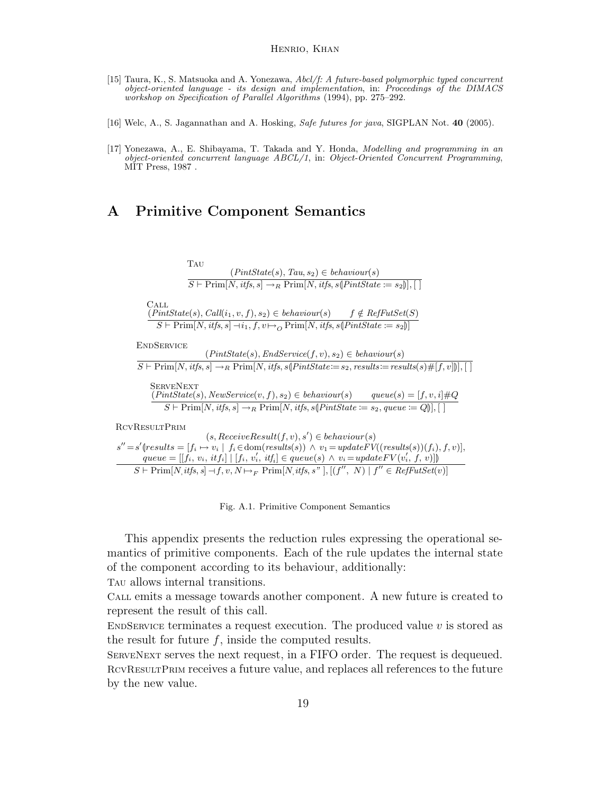- <span id="page-19-2"></span>[15] Taura, K., S. Matsuoka and A. Yonezawa, Abcl/f: A future-based polymorphic typed concurrent object-oriented language - its design and implementation, in: Proceedings of the DIMACS workshop on Specification of Parallel Algorithms (1994), pp. 275–292.
- <span id="page-19-1"></span>[16] Welc, A., S. Jagannathan and A. Hosking, Safe futures for java, SIGPLAN Not. 40 (2005).
- <span id="page-19-0"></span>[17] Yonezawa, A., E. Shibayama, T. Takada and Y. Honda, Modelling and programming in an object-oriented concurrent language ABCL/1, in: Object-Oriented Concurrent Programming, MIT Press, 1987 .

## <span id="page-19-3"></span>A Primitive Component Semantics

**TAU**  $(PintState(s), Tau, s_2) \in behaviour(s)$  $S \vdash \text{Prim}[N, itfs, s] \rightarrow_R \text{Prim}[N, itfs, s[PintState := s_2]], []$ Call  $(PrintState(s), Call(i<sub>1</sub>, v, f), s<sub>2</sub>) \in behaviour(s)$   $f \notin RefFutSet(S)$  $S \vdash \mathrm{Prim}[N, itfs, s] \dashv i_1, f, v \mapsto_O \mathrm{Prim}[N, itfs, s(PintState := s_2)]$ **ENDSERVICE**  $(PintState(s),EndService(f, v), s_2) \in behavior(s)$  $S \vdash \mathrm{Prim}[N, itfs, s] \rightarrow_R \mathrm{Prim}[N, itfs, s[PintState:=s_2, results:=results(s) \#[f, v]]], [$ **SERVENEXT**  $(PrintState(s), NewService(v, f), s_2) \in behavior(s)$  queue $(s) = [f, v, i] \# Q$  $S \vdash \text{Prim}[N, itfs, s] \rightarrow_R \text{Prim}[N, itfs, s(\text{PintState} := s_2, queue := Q)], [ ]$ RcvResultPrim

 $(s, ReceiverResult(f, v), s') \in behavior(s)$  $s'' = s'$ ( $results = [f_i \mapsto v_i \mid f_i \in \text{dom}(\text{results}(s)) \land v_1 = \text{update} \overrightarrow{FV}((\text{results}(s))(f_i), f, v)],$  $queue = [[f_i, v_i, itf_i] \mid [f_i, v'_i, itf_i] \in queue(s) \land v_i = updateFV(v'_i, f, v)]$  $S \vdash \mathrm{Prim}[N, itfs, s] \dashv f, v, N \mapsto_F \mathrm{Prim}[N, itfs, s" ], [(f'', N) \mid f'' \in \mathit{RefFutSet}(v)]$ 

Fig. A.1. Primitive Component Semantics

This appendix presents the reduction rules expressing the operational semantics of primitive components. Each of the rule updates the internal state of the component according to its behaviour, additionally:

Tau allows internal transitions.

Call emits a message towards another component. A new future is created to represent the result of this call.

ENDSERVICE terminates a request execution. The produced value  $v$  is stored as the result for future  $f$ , inside the computed results.

ServeNext serves the next request, in a FIFO order. The request is dequeued. RCVRESULTPRIM receives a future value, and replaces all references to the future by the new value.